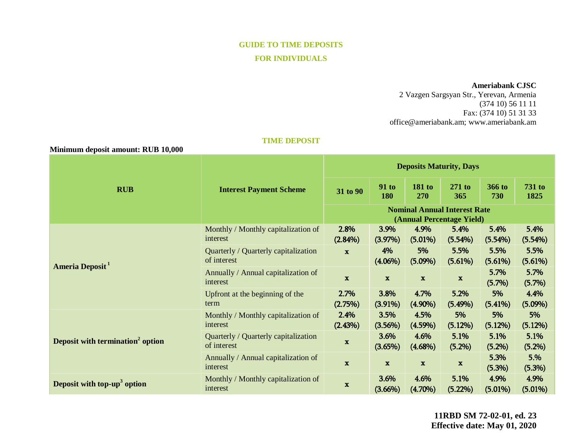# **GUIDE TO TIME DEPOSITS FOR INDIVIDUALS**

#### **Ameriabank CJSC**

2 Vazgen Sargsyan Str., Yerevan, Armenia (374 10) 56 11 11 Fax: (374 10) 51 31 33 [office@ameriabank.am;](mailto:office@ameriabank.am) www.ameriabank.am

#### **TIME DEPOSIT**

 **Minimum deposit amount: RUB 10,000**

| <b>RUB</b>                                   | <b>Interest Payment Scheme</b>                      | <b>Deposits Maturity, Days</b>                                   |                     |                      |                    |                      |                       |
|----------------------------------------------|-----------------------------------------------------|------------------------------------------------------------------|---------------------|----------------------|--------------------|----------------------|-----------------------|
|                                              |                                                     | 31 to 90                                                         | <b>91 to</b><br>180 | <b>181 to</b><br>270 | $271$ to<br>365    | <b>366 to</b><br>730 | <b>731 to</b><br>1825 |
|                                              |                                                     | <b>Nominal Annual Interest Rate</b><br>(Annual Percentage Yield) |                     |                      |                    |                      |                       |
| Ameria Deposit <sup>1</sup>                  | Monthly / Monthly capitalization of<br>interest     | 2.8%<br>$(2.84\%)$                                               | 3.9%<br>(3.97%)     | 4.9%<br>$(5.01\%)$   | 5.4%<br>(5.54%)    | 5.4%<br>(5.54%)      | 5.4%<br>(5.54%)       |
|                                              | Quarterly / Quarterly capitalization<br>of interest | $\mathbf{x}$                                                     | 4%<br>$(4.06\%)$    | 5%<br>$(5.09\%)$     | 5.5%<br>(5.61%)    | 5.5%<br>(5.61%)      | 5.5%<br>(5.61%)       |
|                                              | Annually / Annual capitalization of<br>interest     | $\mathbf x$                                                      | $\mathbf x$         | $\mathbf x$          | $\mathbf x$        | 5.7%<br>(5.7%)       | 5.7%<br>(5.7%)        |
|                                              | Upfront at the beginning of the<br>term             | 2.7%<br>(2.75%)                                                  | 3.8%<br>$(3.91\%)$  | 4.7%<br>$(4.90\%)$   | 5.2%<br>$(5.49\%)$ | 5%<br>(5.41%)        | 4.4%<br>$(5.09\%)$    |
| Deposit with termination <sup>2</sup> option | Monthly / Monthly capitalization of<br>interest     | 2.4%<br>(2.43%)                                                  | 3.5%<br>(3.56%)     | 4.5%<br>(4.59%)      | 5%<br>(5.12%)      | 5%<br>(5.12%)        | 5%<br>(5.12%)         |
|                                              | Quarterly / Quarterly capitalization<br>of interest | $\mathbf x$                                                      | 3.6%<br>(3.65%)     | 4.6%<br>$(4.68\%)$   | 5.1%<br>(5.2%)     | 5.1%<br>(5.2%)       | 5.1%<br>(5.2%)        |
|                                              | Annually / Annual capitalization of<br>interest     | $\mathbf x$                                                      | $\mathbf{x}$        | $\mathbf{x}$         | $\mathbf x$        | 5.3%<br>(5.3%)       | 5.%<br>(5.3%)         |
| Deposit with top-up <sup>3</sup> option      | Monthly / Monthly capitalization of<br>interest     | $\mathbf x$                                                      | 3.6%<br>$(3.66\%)$  | 4.6%<br>$(4.70\%)$   | 5.1%<br>$(5.22\%)$ | 4.9%<br>$(5.01\%)$   | 4.9%<br>$(5.01\%)$    |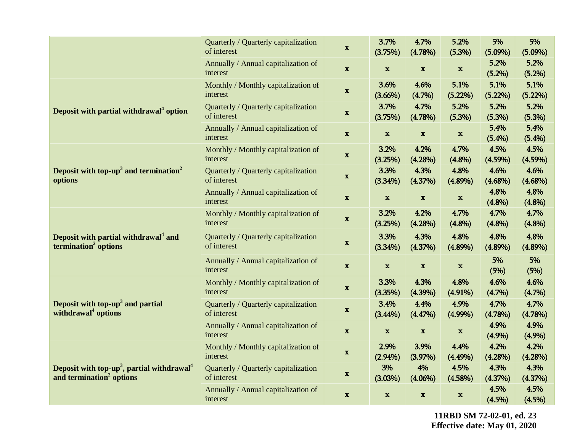|                                                                                                            | Quarterly / Quarterly capitalization<br>of interest | $\mathbf x$  | 3.7%<br>(3.75%)    | 4.7%<br>(4.78%)  | 5.2%<br>(5.3%)     | 5%<br>$(5.09\%)$   | 5%<br>$(5.09\%)$   |
|------------------------------------------------------------------------------------------------------------|-----------------------------------------------------|--------------|--------------------|------------------|--------------------|--------------------|--------------------|
|                                                                                                            | Annually / Annual capitalization of<br>interest     | $\mathbf x$  | $\mathbf x$        | $\mathbf x$      | $\mathbf x$        | 5.2%<br>(5.2%)     | 5.2%<br>(5.2%)     |
| Deposit with partial withdrawal <sup>4</sup> option                                                        | Monthly / Monthly capitalization of<br>interest     | $\mathbf x$  | 3.6%<br>$(3.66\%)$ | 4.6%<br>(4.7%)   | 5.1%<br>(5.22%)    | 5.1%<br>$(5.22\%)$ | 5.1%<br>(5.22%)    |
|                                                                                                            | Quarterly / Quarterly capitalization<br>of interest | $\mathbf x$  | 3.7%<br>(3.75%)    | 4.7%<br>(4.78%)  | 5.2%<br>(5.3%)     | 5.2%<br>(5.3%)     | 5.2%<br>(5.3%)     |
|                                                                                                            | Annually / Annual capitalization of<br>interest     | $\mathbf x$  | $\mathbf{x}$       | $\mathbf x$      | $\mathbf x$        | 5.4%<br>(5.4%)     | 5.4%<br>(5.4%)     |
| Deposit with $top-up3$ and termination <sup>2</sup><br>options                                             | Monthly / Monthly capitalization of<br>interest     | $\mathbf x$  | 3.2%<br>(3.25%)    | 4.2%<br>(4.28%)  | 4.7%<br>(4.8%)     | 4.5%<br>$(4.59\%)$ | 4.5%<br>(4.59%)    |
|                                                                                                            | Quarterly / Quarterly capitalization<br>of interest | $\mathbf x$  | 3.3%<br>(3.34%)    | 4.3%<br>(4.37%)  | 4.8%<br>$(4.89\%)$ | 4.6%<br>$(4.68\%)$ | 4.6%<br>$(4.68\%)$ |
|                                                                                                            | Annually / Annual capitalization of<br>interest     | $\mathbf x$  | $\mathbf x$        | $\mathbf x$      | $\mathbf x$        | 4.8%<br>(4.8%)     | 4.8%<br>(4.8%)     |
| Deposit with partial withdrawal <sup>4</sup> and<br>termination <sup>2</sup> options                       | Monthly / Monthly capitalization of<br>interest     | $\mathbf{x}$ | 3.2%<br>(3.25%)    | 4.2%<br>(4.28%)  | 4.7%<br>(4.8%)     | 4.7%<br>(4.8%)     | 4.7%<br>(4.8%)     |
|                                                                                                            | Quarterly / Quarterly capitalization<br>of interest | $\mathbf{x}$ | 3.3%<br>(3.34%)    | 4.3%<br>(4.37%)  | 4.8%<br>$(4.89\%)$ | 4.8%<br>$(4.89\%)$ | 4.8%<br>$(4.89\%)$ |
|                                                                                                            | Annually / Annual capitalization of<br>interest     | $\mathbf{x}$ | $\mathbf{x}$       | $\mathbf x$      | $\mathbf x$        | 5%<br>(5%)         | 5%<br>(5%)         |
| Deposit with top-up <sup>3</sup> and partial<br>withdrawal <sup>4</sup> options                            | Monthly / Monthly capitalization of<br>interest     | $\mathbf x$  | 3.3%<br>(3.35%)    | 4.3%<br>(4.39%)  | 4.8%<br>$(4.91\%)$ | 4.6%<br>(4.7%)     | 4.6%<br>(4.7%)     |
|                                                                                                            | Quarterly / Quarterly capitalization<br>of interest | $\mathbf x$  | 3.4%<br>$(3.44\%)$ | 4.4%<br>(4.47%)  | 4.9%<br>$(4.99\%)$ | 4.7%<br>(4.78%)    | 4.7%<br>(4.78%)    |
|                                                                                                            | Annually / Annual capitalization of<br>interest     | $\mathbf x$  | $\mathbf x$        | $\mathbf x$      | $\mathbf x$        | 4.9%<br>(4.9%)     | 4.9%<br>(4.9%)     |
| Deposit with top-up <sup>3</sup> , partial withdrawal <sup>4</sup><br>and termination <sup>2</sup> options | Monthly / Monthly capitalization of<br>interest     | $\mathbf x$  | 2.9%<br>$(2.94\%)$ | 3.9%<br>(3.97%)  | 4.4%<br>$(4.49\%)$ | 4.2%<br>(4.28%)    | 4.2%<br>(4.28%)    |
|                                                                                                            | Quarterly / Quarterly capitalization<br>of interest | $\mathbf{x}$ | 3%<br>(3.03%)      | 4%<br>$(4.06\%)$ | 4.5%<br>(4.58%)    | 4.3%<br>(4.37%)    | 4.3%<br>(4.37%)    |
|                                                                                                            | Annually / Annual capitalization of<br>interest     | $\mathbf{x}$ | $\mathbf{x}$       | $\mathbf x$      | $\mathbf x$        | 4.5%<br>(4.5%)     | 4.5%<br>(4.5%)     |

**11RBD SM 72-02-01, ed. 23 Effective date: May 01, 2020**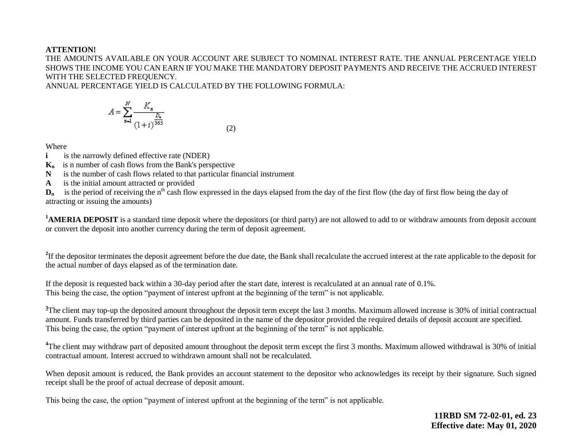## **ATTENTION!**

THE AMOUNTS AVAILABLE ON YOUR ACCOUNT ARE SUBJECT TO NOMINAL INTEREST RATE. THE ANNUAL PERCENTAGE YIELD SHOWS THE INCOME YOU CAN EARN IF YOU MAKE THE MANDATORY DEPOSIT PAYMENTS AND RECEIVE THE ACCRUED INTEREST WITH THE SELECTED FREQUENCY.

ANNUAL PERCENTAGE YIELD IS CALCULATED BY THE FOLLOWING FORMULA:

$$
A = \sum_{n=1}^{N} \frac{K_n}{(1+i)^{\frac{D_n}{365}}}
$$
(2)

Where

**i** is the narrowly defined effective rate (NDER)

**Kn** is n number of cash flows from the Bank's perspective

**N** is the number of cash flows related to that particular financial instrument

**A** is the initial amount attracted or provided

 $D_n$  is the period of receiving the n<sup>th</sup> cash flow expressed in the days elapsed from the day of the first flow (the day of first flow being the day of attracting or issuing the amounts)

<sup>1</sup>**AMERIA DEPOSIT** is a standard time deposit where the depositors (or third party) are not allowed to add to or withdraw amounts from deposit account or convert the deposit into another currency during the term of deposit agreement.

<sup>2</sup>If the depositor terminates the deposit agreement before the due date, the Bank shall recalculate the accrued interest at the rate applicable to the deposit for the actual number of days elapsed as of the termination date.

If the deposit is requested back within a 30-day period after the start date, interest is recalculated at an annual rate of 0.1%. This being the case, the option "payment of interest upfront at the beginning of the term" is not applicable.

<sup>3</sup>The client may top-up the deposited amount throughout the deposit term except the last 3 months. Maximum allowed increase is 30% of initial contractual amount. Funds transferred by third parties can be deposited in the name of the depositor provided the required details of deposit account are specified. This being the case, the option "payment of interest upfront at the beginning of the term" is not applicable.

<sup>4</sup>The client may withdraw part of deposited amount throughout the deposit term except the first 3 months. Maximum allowed withdrawal is 30% of initial contractual amount. Interest accrued to withdrawn amount shall not be recalculated.

When deposit amount is reduced, the Bank provides an account statement to the depositor who acknowledges its receipt by their signature. Such signed receipt shall be the proof of actual decrease of deposit amount.

This being the case, the option "payment of interest upfront at the beginning of the term" is not applicable.

**11RBD SM 72-02-01, ed. 23 Effective date: May 01, 2020**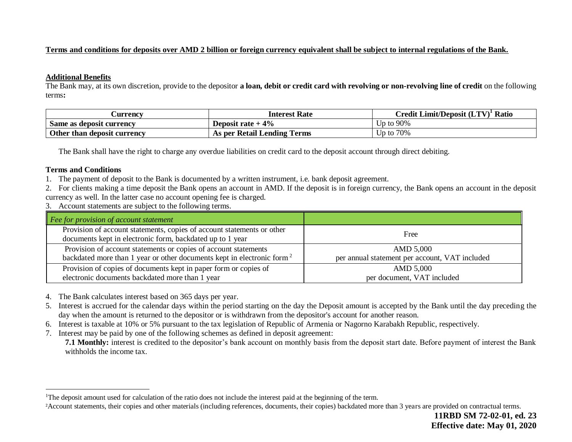## **Terms and conditions for deposits over AMD 2 billion or foreign currency equivalent shall be subject to internal regulations of the Bank.**

#### **Additional Benefits**

The Bank may, at its own discretion, provide to the depositor **a loan, debit or credit card with revolving or non-revolving line of credit** on the following terms**:**

| <b>Currency</b>             | Interest Rate               | $\mathbb{C}% \left( \mathcal{N}\right)$ redit Limit/Deposit (LTV) $^{1}$ .<br>Ratio |
|-----------------------------|-----------------------------|-------------------------------------------------------------------------------------|
| Same as deposit currency    | Deposit rate $+4\%$         | Up to 90%                                                                           |
| Other than deposit currency | As per Retail Lending Terms | Up to 70%                                                                           |

The Bank shall have the right to charge any overdue liabilities on credit card to the deposit account through direct debiting.

### **Terms and Conditions**

 $\overline{a}$ 

- 1. The payment of deposit to the Bank is documented by a written instrument, i.e. bank deposit agreement.
- 2. For clients making a time deposit the Bank opens an account in AMD. If the deposit is in foreign currency, the Bank opens an account in the deposit currency as well. In the latter case no account opening fee is charged.
- 3. Account statements are subject to the following terms.

| Fee for provision of account statement                                                                                              |                                                |
|-------------------------------------------------------------------------------------------------------------------------------------|------------------------------------------------|
| Provision of account statements, copies of account statements or other<br>documents kept in electronic form, backdated up to 1 year | Free                                           |
| Provision of account statements or copies of account statements                                                                     | AMD 5,000                                      |
| backdated more than 1 year or other documents kept in electronic form <sup>2</sup>                                                  | per annual statement per account, VAT included |
| Provision of copies of documents kept in paper form or copies of                                                                    | AMD 5,000                                      |
| electronic documents backdated more than 1 year                                                                                     | per document, VAT included                     |

- 4. The Bank calculates interest based on 365 days per year.
- 5. Interest is accrued for the calendar days within the period starting on the day the Deposit amount is accepted by the Bank until the day preceding the day when the amount is returned to the depositor or is withdrawn from the depositor's account for another reason.
- 6. Interest is taxable at 10% or 5% pursuant to the tax legislation of Republic of Armenia or Nagorno Karabakh Republic, respectively.
- 7. Interest may be paid by one of the following schemes as defined in deposit agreement:

**7.1 Monthly:** interest is credited to the depositor's bank account on monthly basis from the deposit start date. Before payment of interest the Bank withholds the income tax.

<sup>&</sup>lt;sup>1</sup>The deposit amount used for calculation of the ratio does not include the interest paid at the beginning of the term.

<sup>&</sup>lt;sup>2</sup>Account statements, their copies and other materials (including references, documents, their copies) backdated more than 3 years are provided on contractual terms.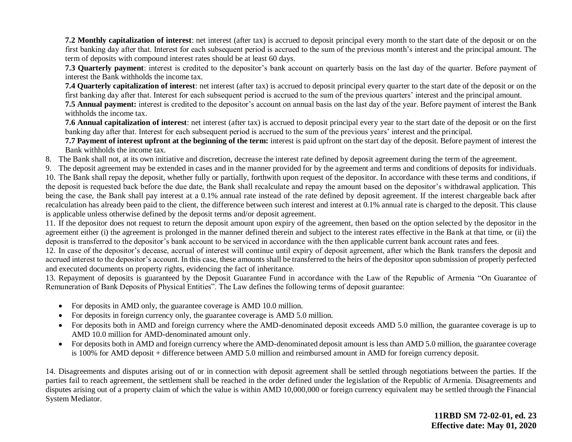**7.2 Monthly capitalization of interest**: net interest (after tax) is accrued to deposit principal every month to the start date of the deposit or on the first banking day after that. Interest for each subsequent period is accrued to the sum of the previous month's interest and the principal amount. The term of deposits with compound interest rates should be at least 60 days.

**7.3 Quarterly payment**: interest is credited to the depositor's bank account on quarterly basis on the last day of the quarter. Before payment of interest the Bank withholds the income tax.

**7.4 Quarterly capitalization of interest**: net interest (after tax) is accrued to deposit principal every quarter to the start date of the deposit or on the first banking day after that. Interest for each subsequent period is accrued to the sum of the previous quarters' interest and the principal amount.

**7.5 Annual payment:** interest is credited to the depositor's account on annual basis on the last day of the year. Before payment of interest the Bank withholds the income tax.

**7.6 Annual capitalization of interest**: net interest (after tax) is accrued to deposit principal every year to the start date of the deposit or on the first banking day after that. Interest for each subsequent period is accrued to the sum of the previous years' interest and the principal.

**7.7 Payment of interest upfront at the beginning of the term:** interest is paid upfront on the start day of the deposit. Before payment of interest the Bank withholds the income tax.

8. The Bank shall not, at its own initiative and discretion, decrease the interest rate defined by deposit agreement during the term of the agreement.

9. The deposit agreement may be extended in cases and in the manner provided for by the agreement and terms and conditions of deposits for individuals.

10. The Bank shall repay the deposit, whether fully or partially, forthwith upon request of the depositor. In accordance with these terms and conditions, if the deposit is requested back before the due date, the Bank shall recalculate and repay the amount based on the depositor's withdrawal application. This being the case, the Bank shall pay interest at a 0.1% annual rate instead of the rate defined by deposit agreement. If the interest chargeable back after recalculation has already been paid to the client, the difference between such interest and interest at 0.1% annual rate is charged to the deposit. This clause is applicable unless otherwise defined by the deposit terms and/or deposit agreement.

11. If the depositor does not request to return the deposit amount upon expiry of the agreement, then based on the option selected by the depositor in the agreement either (i) the agreement is prolonged in the manner defined therein and subject to the interest rates effective in the Bank at that time, or (ii) the deposit is transferred to the depositor's bank account to be serviced in accordance with the then applicable current bank account rates and fees.

12. In case of the depositor's decease, accrual of interest will continue until expiry of deposit agreement, after which the Bank transfers the deposit and accrued interest to the depositor's account. In this case, these amounts shall be transferred to the heirs of the depositor upon submission of properly perfected and executed documents on property rights, evidencing the fact of inheritance.

13. Repayment of deposits is guaranteed by the Deposit Guarantee Fund in accordance with the Law of the Republic of Armenia "On Guarantee of Remuneration of Bank Deposits of Physical Entities". The Law defines the following terms of deposit guarantee:

- For deposits in AMD only, the guarantee coverage is AMD 10.0 million.
- For deposits in foreign currency only, the guarantee coverage is AMD 5.0 million.
- For deposits both in AMD and foreign currency where the AMD-denominated deposit exceeds AMD 5.0 million, the guarantee coverage is up to AMD 10.0 million for AMD-denominated amount only.
- For deposits both in AMD and foreign currency where the AMD-denominated deposit amount is less than AMD 5.0 million, the guarantee coverage is 100% for AMD deposit + difference between AMD 5.0 million and reimbursed amount in AMD for foreign currency deposit.

14. Disagreements and disputes arising out of or in connection with deposit agreement shall be settled through negotiations between the parties. If the parties fail to reach agreement, the settlement shall be reached in the order defined under the legislation of the Republic of Armenia. Disagreements and disputes arising out of a property claim of which the value is within AMD 10,000,000 or foreign currency equivalent may be settled through the Financial System Mediator.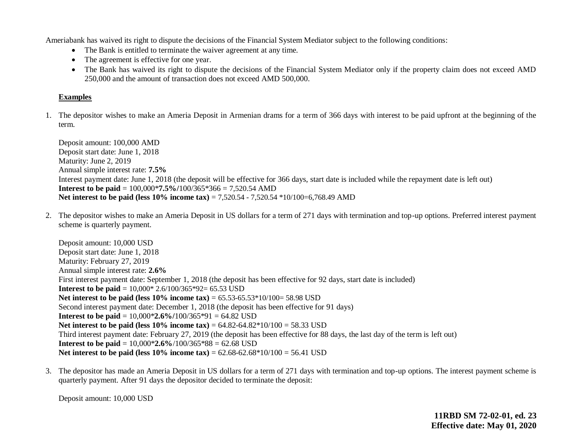Ameriabank has waived its right to dispute the decisions of the Financial System Mediator subject to the following conditions:

- The Bank is entitled to terminate the waiver agreement at any time.
- The agreement is effective for one year.
- The Bank has waived its right to dispute the decisions of the Financial System Mediator only if the property claim does not exceed AMD 250,000 and the amount of transaction does not exceed AMD 500,000.

## **Examples**

1. The depositor wishes to make an Ameria Deposit in Armenian drams for a term of 366 days with interest to be paid upfront at the beginning of the term.

Deposit amount: 100,000 AMD Deposit start date: June 1, 2018 Maturity: June 2, 2019 Annual simple interest rate: **7.5%** Interest payment date: June 1, 2018 (the deposit will be effective for 366 days, start date is included while the repayment date is left out) **Interest to be paid** = 100,000\***7.5%/**100/365\*366 = 7,520.54 AMD **Net interest to be paid (less 10% income tax) = 7,520.54 - 7,520.54**  $*10/100=6,768.49$  **AMD** 

2. The depositor wishes to make an Ameria Deposit in US dollars for a term of 271 days with termination and top-up options. Preferred interest payment scheme is quarterly payment.

Deposit amount: 10,000 USD Deposit start date: June 1, 2018 Maturity: February 27, 2019 Annual simple interest rate: **2.6%** First interest payment date: September 1, 2018 (the deposit has been effective for 92 days, start date is included) **Interest to be paid** = 10,000\* 2.6/100/365\*92= 65.53 USD **Net interest to be paid (less 10% income tax) = 65.53-65.53\*10/100= 58.98 USD** Second interest payment date: December 1, 2018 (the deposit has been effective for 91 days) **Interest to be paid** = 10,000\***2.6%/**100/365\*91 = 64.82 USD **Net interest to be paid (less 10% income tax)** = 64.82-64.82\*10/100 = 58.33 USD Third interest payment date: February 27, 2019 (the deposit has been effective for 88 days, the last day of the term is left out) **Interest to be paid** = 10,000\***2.6%**/100/365\*88 = 62.68 USD **Net interest to be paid (less 10% income tax) =**  $62.68-62.68*10/100 = 56.41$  **USD** 

3. The depositor has made an Ameria Deposit in US dollars for a term of 271 days with termination and top-up options. The interest payment scheme is quarterly payment. After 91 days the depositor decided to terminate the deposit:

Deposit amount: 10,000 USD